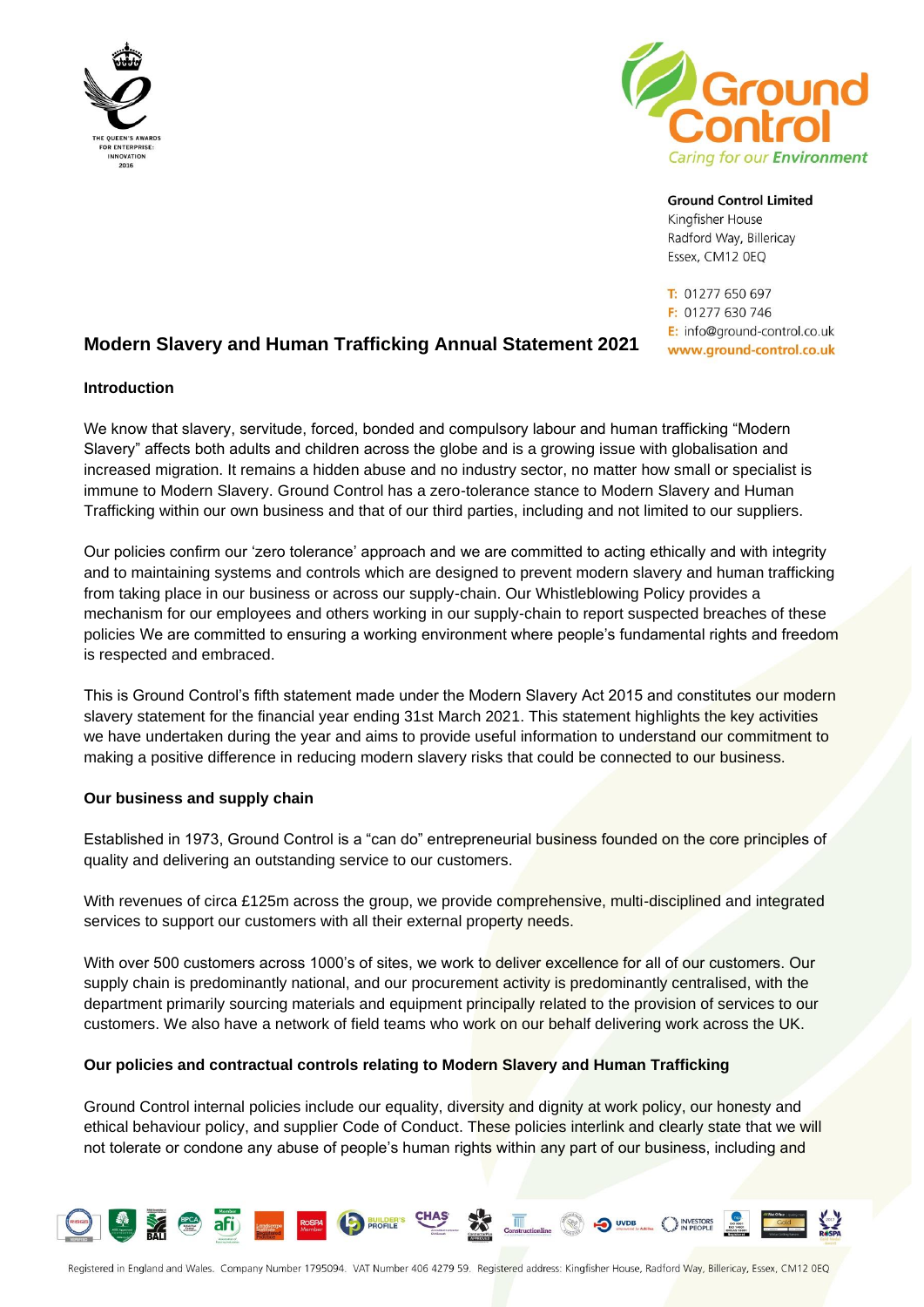



**Ground Control Limited** Kingfisher House

Radford Way, Billericay Essex, CM12 0EQ

T: 01277 650 697 F: 01277 630 746 E: info@ground-control.co.uk www.ground-control.co.uk

# **Modern Slavery and Human Trafficking Annual Statement 2021**

# **Introduction**

We know that slavery, servitude, forced, bonded and compulsory labour and human trafficking "Modern Slavery" affects both adults and children across the globe and is a growing issue with globalisation and increased migration. It remains a hidden abuse and no industry sector, no matter how small or specialist is immune to Modern Slavery. Ground Control has a zero-tolerance stance to Modern Slavery and Human Trafficking within our own business and that of our third parties, including and not limited to our suppliers.

Our policies confirm our 'zero tolerance' approach and we are committed to acting ethically and with integrity and to maintaining systems and controls which are designed to prevent modern slavery and human trafficking from taking place in our business or across our supply-chain. Our Whistleblowing Policy provides a mechanism for our employees and others working in our supply-chain to report suspected breaches of these policies We are committed to ensuring a working environment where people's fundamental rights and freedom is respected and embraced.

This is Ground Control's fifth statement made under the Modern Slavery Act 2015 and constitutes our modern slavery statement for the financial year ending 31st March 2021. This statement highlights the key activities we have undertaken during the year and aims to provide useful information to understand our commitment to making a positive difference in reducing modern slavery risks that could be connected to our business.

# **Our business and supply chain**

afi

Established in 1973, Ground Control is a "can do" entrepreneurial business founded on the core principles of quality and delivering an outstanding service to our customers.

With revenues of circa £125m across the group, we provide comprehensive, multi-disciplined and integrated services to support our customers with all their external property needs.

With over 500 customers across 1000's of sites, we work to deliver excellence for all of our customers. Our supply chain is predominantly national, and our procurement activity is predominantly centralised, with the department primarily sourcing materials and equipment principally related to the provision of services to our customers. We also have a network of field teams who work on our behalf delivering work across the UK.

#### **Our policies and contractual controls relating to Modern Slavery and Human Trafficking**

Ground Control internal policies include our equality, diversity and dignity at work policy, our honesty and ethical behaviour policy, and supplier Code of Conduct. These policies interlink and clearly state that we will not tolerate or condone any abuse of people's human rights within any part of our business, including and



ROSPA CO PROFILE CHAS COnstructionline CO DUDB ON PEOPLE CONDE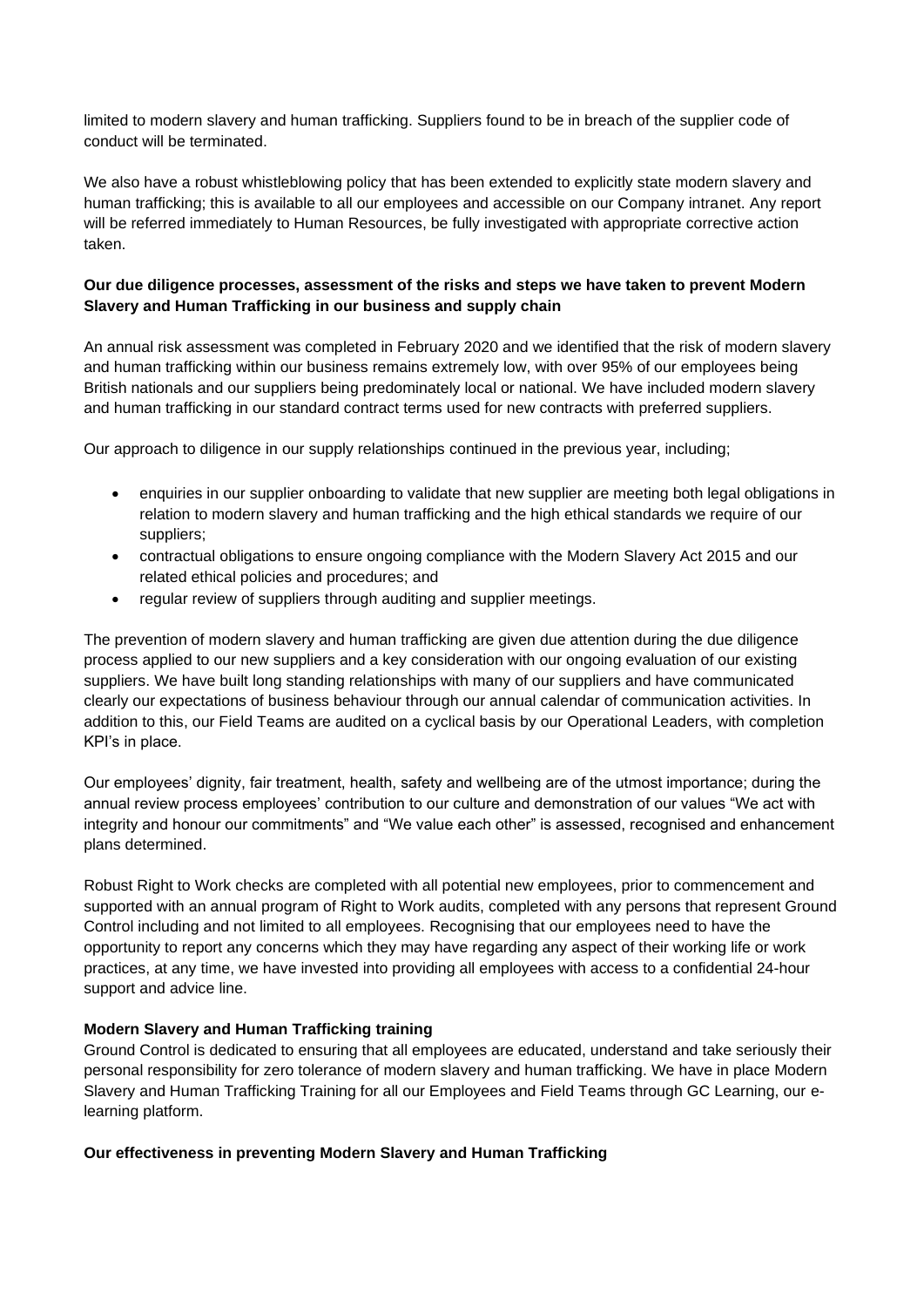limited to modern slavery and human trafficking. Suppliers found to be in breach of the supplier code of conduct will be terminated.

We also have a robust whistleblowing policy that has been extended to explicitly state modern slavery and human trafficking; this is available to all our employees and accessible on our Company intranet. Any report will be referred immediately to Human Resources, be fully investigated with appropriate corrective action taken.

# **Our due diligence processes, assessment of the risks and steps we have taken to prevent Modern Slavery and Human Trafficking in our business and supply chain**

An annual risk assessment was completed in February 2020 and we identified that the risk of modern slavery and human trafficking within our business remains extremely low, with over 95% of our employees being British nationals and our suppliers being predominately local or national. We have included modern slavery and human trafficking in our standard contract terms used for new contracts with preferred suppliers.

Our approach to diligence in our supply relationships continued in the previous year, including;

- enquiries in our supplier onboarding to validate that new supplier are meeting both legal obligations in relation to modern slavery and human trafficking and the high ethical standards we require of our suppliers;
- contractual obligations to ensure ongoing compliance with the Modern Slavery Act 2015 and our related ethical policies and procedures; and
- regular review of suppliers through auditing and supplier meetings.

The prevention of modern slavery and human trafficking are given due attention during the due diligence process applied to our new suppliers and a key consideration with our ongoing evaluation of our existing suppliers. We have built long standing relationships with many of our suppliers and have communicated clearly our expectations of business behaviour through our annual calendar of communication activities. In addition to this, our Field Teams are audited on a cyclical basis by our Operational Leaders, with completion KPI's in place.

Our employees' dignity, fair treatment, health, safety and wellbeing are of the utmost importance; during the annual review process employees' contribution to our culture and demonstration of our values "We act with integrity and honour our commitments" and "We value each other" is assessed, recognised and enhancement plans determined.

Robust Right to Work checks are completed with all potential new employees, prior to commencement and supported with an annual program of Right to Work audits, completed with any persons that represent Ground Control including and not limited to all employees. Recognising that our employees need to have the opportunity to report any concerns which they may have regarding any aspect of their working life or work practices, at any time, we have invested into providing all employees with access to a confidential 24-hour support and advice line.

# **Modern Slavery and Human Trafficking training**

Ground Control is dedicated to ensuring that all employees are educated, understand and take seriously their personal responsibility for zero tolerance of modern slavery and human trafficking. We have in place Modern Slavery and Human Trafficking Training for all our Employees and Field Teams through GC Learning, our elearning platform.

# **Our effectiveness in preventing Modern Slavery and Human Trafficking**